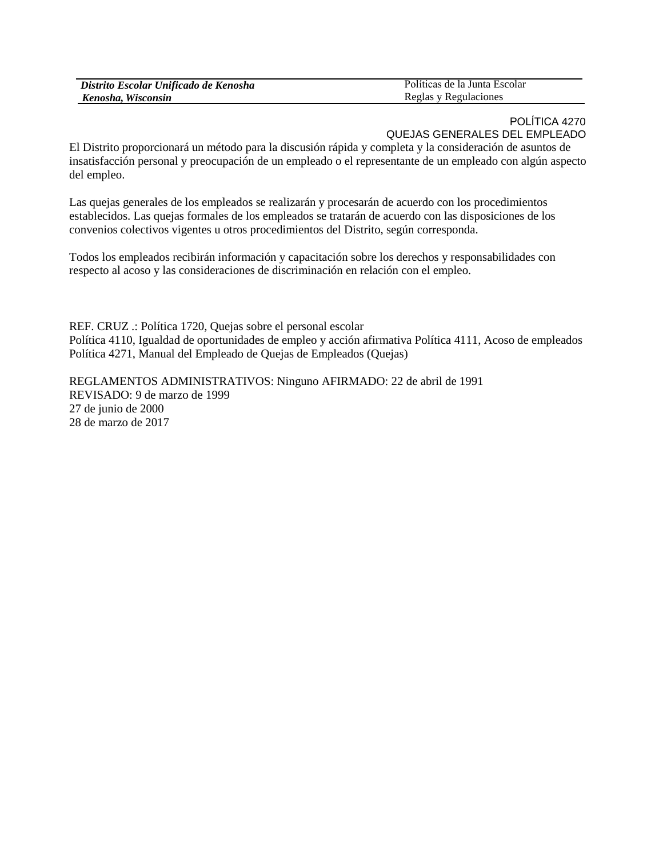| Distrito Escolar Unificado de Kenosha | Políticas de la Junta Escolar |
|---------------------------------------|-------------------------------|
| Kenosha, Wisconsin                    | Reglas y Regulaciones         |

## POLÍTICA 4270 QUEJAS GENERALES DEL EMPLEADO

El Distrito proporcionará un método para la discusión rápida y completa y la consideración de asuntos de insatisfacción personal y preocupación de un empleado o el representante de un empleado con algún aspecto del empleo.

Las quejas generales de los empleados se realizarán y procesarán de acuerdo con los procedimientos establecidos. Las quejas formales de los empleados se tratarán de acuerdo con las disposiciones de los convenios colectivos vigentes u otros procedimientos del Distrito, según corresponda.

Todos los empleados recibirán información y capacitación sobre los derechos y responsabilidades con respecto al acoso y las consideraciones de discriminación en relación con el empleo.

REF. CRUZ .: Política 1720, Quejas sobre el personal escolar Política 4110, Igualdad de oportunidades de empleo y acción afirmativa Política 4111, Acoso de empleados Política 4271, Manual del Empleado de Quejas de Empleados (Quejas)

REGLAMENTOS ADMINISTRATIVOS: Ninguno AFIRMADO: 22 de abril de 1991 REVISADO: 9 de marzo de 1999 27 de junio de 2000 28 de marzo de 2017